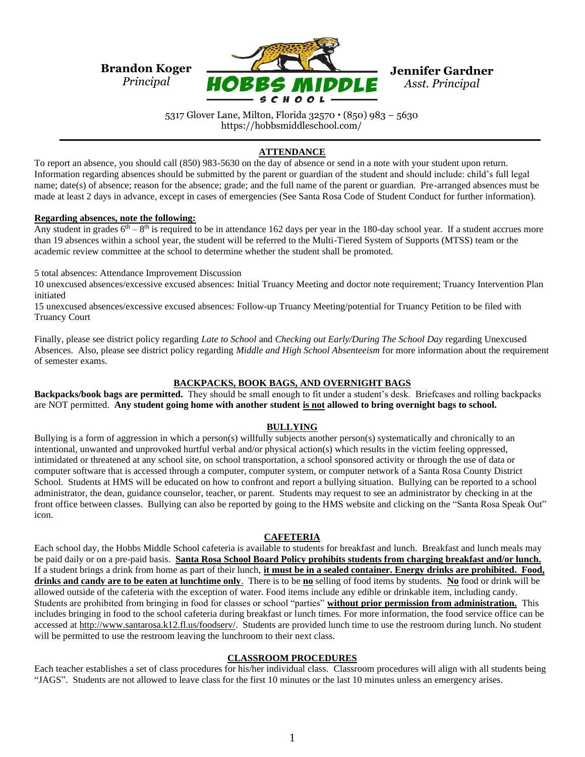

5317 Glover Lane, Milton, Florida 32570 (850) 983 – 5630 https://hobbsmiddleschool.com/

# **ATTENDANCE**

To report an absence, you should call (850) 983-5630 on the day of absence or send in a note with your student upon return. Information regarding absences should be submitted by the parent or guardian of the student and should include: child's full legal name; date(s) of absence; reason for the absence; grade; and the full name of the parent or guardian. Pre-arranged absences must be made at least 2 days in advance, except in cases of emergencies (See Santa Rosa Code of Student Conduct for further information).

### **Regarding absences, note the following:**

Any student in grades  $6<sup>th</sup> - 8<sup>th</sup>$  is required to be in attendance 162 days per year in the 180-day school year. If a student accrues more than 19 absences within a school year, the student will be referred to the Multi-Tiered System of Supports (MTSS) team or the academic review committee at the school to determine whether the student shall be promoted.

5 total absences: Attendance Improvement Discussion

10 unexcused absences/excessive excused absences: Initial Truancy Meeting and doctor note requirement; Truancy Intervention Plan initiated

15 unexcused absences/excessive excused absences: Follow-up Truancy Meeting/potential for Truancy Petition to be filed with Truancy Court

Finally, please see district policy regarding *Late to School* and *Checking out Early/During The School Day* regarding Unexcused Absences. Also, please see district policy regarding *Middle and High School Absenteeism* for more information about the requirement of semester exams.

## **BACKPACKS, BOOK BAGS, AND OVERNIGHT BAGS**

**Backpacks/book bags are permitted.** They should be small enough to fit under a student's desk. Briefcases and rolling backpacks are NOT permitted. **Any student going home with another student is not allowed to bring overnight bags to school.** 

## **BULLYING**

Bullying is a form of aggression in which a person(s) willfully subjects another person(s) systematically and chronically to an intentional, unwanted and unprovoked hurtful verbal and/or physical action(s) which results in the victim feeling oppressed, intimidated or threatened at any school site, on school transportation, a school sponsored activity or through the use of data or computer software that is accessed through a computer, computer system, or computer network of a Santa Rosa County District School. Students at HMS will be educated on how to confront and report a bullying situation. Bullying can be reported to a school administrator, the dean, guidance counselor, teacher, or parent. Students may request to see an administrator by checking in at the front office between classes. Bullying can also be reported by going to the HMS website and clicking on the "Santa Rosa Speak Out" icon.

#### **CAFETERIA**

Each school day, the Hobbs Middle School cafeteria is available to students for breakfast and lunch. Breakfast and lunch meals may be paid daily or on a pre-paid basis. **Santa Rosa School Board Policy prohibits students from charging breakfast and/or lunch.** If a student brings a drink from home as part of their lunch, **it must be in a sealed container. Energy drinks are prohibited. Food, drinks and candy are to be eaten at lunchtime only**. There is to be **no** selling of food items by students. **No** food or drink will be allowed outside of the cafeteria with the exception of water. Food items include any edible or drinkable item, including candy. Students are prohibited from bringing in food for classes or school "parties" **without prior permission from administration.** This includes bringing in food to the school cafeteria during breakfast or lunch times. For more information, the food service office can be accessed at [http://www.santarosa.k12.fl.us/foodserv/.](http://www.santarosa.k12.fl.us/foodserv/) Students are provided lunch time to use the restroom during lunch. No student will be permitted to use the restroom leaving the lunchroom to their next class.

## **CLASSROOM PROCEDURES**

Each teacher establishes a set of class procedures for his/her individual class. Classroom procedures will align with all students being "JAGS". Students are not allowed to leave class for the first 10 minutes or the last 10 minutes unless an emergency arises.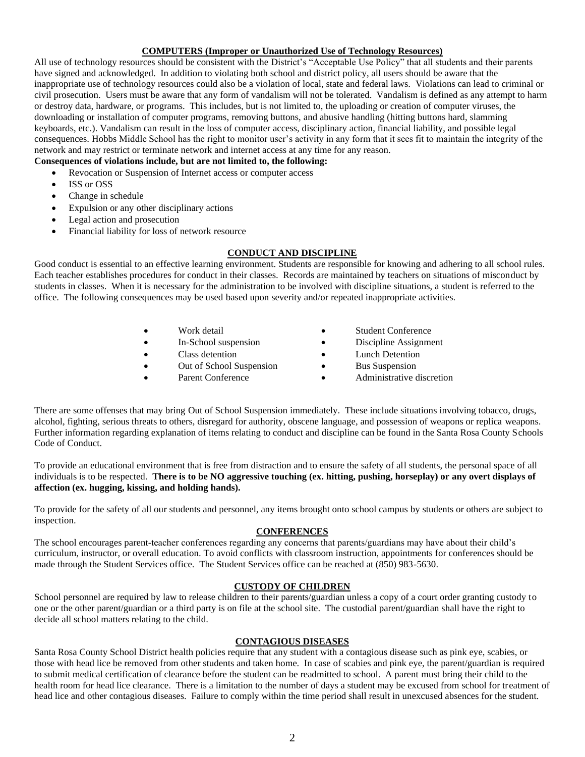# **COMPUTERS (Improper or Unauthorized Use of Technology Resources)**

All use of technology resources should be consistent with the District's "Acceptable Use Policy" that all students and their parents have signed and acknowledged. In addition to violating both school and district policy, all users should be aware that the inappropriate use of technology resources could also be a violation of local, state and federal laws. Violations can lead to criminal or civil prosecution. Users must be aware that any form of vandalism will not be tolerated. Vandalism is defined as any attempt to harm or destroy data, hardware, or programs. This includes, but is not limited to, the uploading or creation of computer viruses, the downloading or installation of computer programs, removing buttons, and abusive handling (hitting buttons hard, slamming keyboards, etc.). Vandalism can result in the loss of computer access, disciplinary action, financial liability, and possible legal consequences. Hobbs Middle School has the right to monitor user's activity in any form that it sees fit to maintain the integrity of the network and may restrict or terminate network and internet access at any time for any reason.

## **Consequences of violations include, but are not limited to, the following:**

- Revocation or Suspension of Internet access or computer access
- ISS or OSS
- Change in schedule
- Expulsion or any other disciplinary actions
- Legal action and prosecution
- Financial liability for loss of network resource

## **CONDUCT AND DISCIPLINE**

Good conduct is essential to an effective learning environment. Students are responsible for knowing and adhering to all school rules. Each teacher establishes procedures for conduct in their classes. Records are maintained by teachers on situations of misconduct by students in classes. When it is necessary for the administration to be involved with discipline situations, a student is referred to the office. The following consequences may be used based upon severity and/or repeated inappropriate activities.

|           | Work detail              | <b>Student Conference</b> |
|-----------|--------------------------|---------------------------|
| $\bullet$ | In-School suspension     | Discipline Assignment     |
| $\bullet$ | Class detention          | Lunch Detention           |
| $\bullet$ | Out of School Suspension | <b>Bus Suspension</b>     |
|           |                          |                           |

- Parent Conference
- 
- Administrative discretion

There are some offenses that may bring Out of School Suspension immediately. These include situations involving tobacco, drugs, alcohol, fighting, serious threats to others, disregard for authority, obscene language, and possession of weapons or replica weapons. Further information regarding explanation of items relating to conduct and discipline can be found in the Santa Rosa County Schools Code of Conduct.

To provide an educational environment that is free from distraction and to ensure the safety of all students, the personal space of all individuals is to be respected. **There is to be NO aggressive touching (ex. hitting, pushing, horseplay) or any overt displays of affection (ex. hugging, kissing, and holding hands).**

To provide for the safety of all our students and personnel, any items brought onto school campus by students or others are subject to inspection.

### **CONFERENCES**

The school encourages parent-teacher conferences regarding any concerns that parents/guardians may have about their child's curriculum, instructor, or overall education. To avoid conflicts with classroom instruction, appointments for conferences should be made through the Student Services office. The Student Services office can be reached at (850) 983-5630.

## **CUSTODY OF CHILDREN**

School personnel are required by law to release children to their parents/guardian unless a copy of a court order granting custody to one or the other parent/guardian or a third party is on file at the school site. The custodial parent/guardian shall have the right to decide all school matters relating to the child.

#### **CONTAGIOUS DISEASES**

Santa Rosa County School District health policies require that any student with a contagious disease such as pink eye, scabies, or those with head lice be removed from other students and taken home. In case of scabies and pink eye, the parent/guardian is required to submit medical certification of clearance before the student can be readmitted to school. A parent must bring their child to the health room for head lice clearance. There is a limitation to the number of days a student may be excused from school for treatment of head lice and other contagious diseases. Failure to comply within the time period shall result in unexcused absences for the student.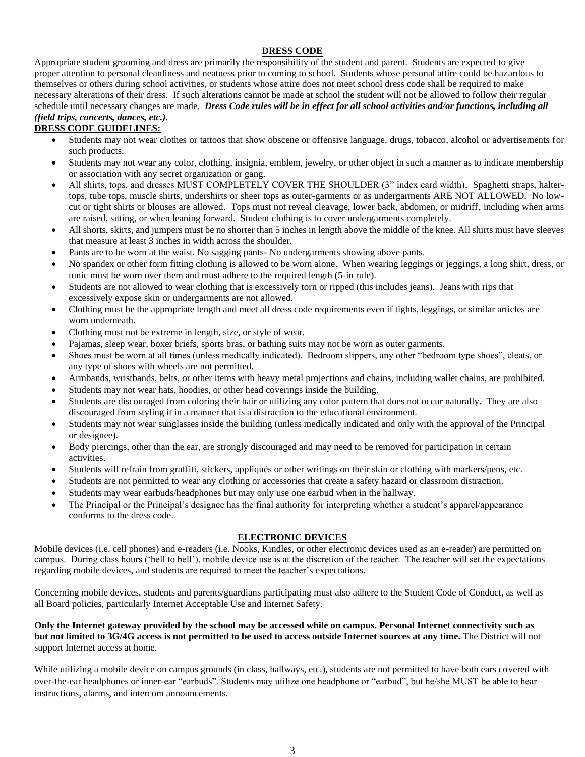## **DRESS CODE**

Appropriate student grooming and dress are primarily the responsibility of the student and parent. Students are expected to give proper attention to personal cleanliness and neatness prior to coming to school. Students whose personal attire could be hazardous to themselves or others during school activities, or students whose attire does not meet school dress code shall be required to make necessary alterations of their dress. If such alterations cannot be made at school the student will not be allowed to follow their regular schedule until necessary changes are made. *Dress Code rules will be in effect for all school activities and/or functions, including all (field trips, concerts, dances, etc.).*

# **DRESS CODE GUIDELINES:**

- Students may not wear clothes or tattoos that show obscene or offensive language, drugs, tobacco, alcohol or advertisements for such products.
- Students may not wear any color, clothing, insignia, emblem, jewelry, or other object in such a manner as to indicate membership or association with any secret organization or gang.
- All shirts, tops, and dresses MUST COMPLETELY COVER THE SHOULDER (3" index card width). Spaghetti straps, haltertops, tube tops, muscle shirts, undershirts or sheer tops as outer-garments or as undergarments ARE NOT ALLOWED. No lowcut or tight shirts or blouses are allowed. Tops must not reveal cleavage, lower back, abdomen, or midriff, including when arms are raised, sitting, or when leaning forward. Student clothing is to cover undergarments completely.
- All shorts, skirts, and jumpers must be no shorter than 5 inches in length above the middle of the knee. All shirts must have sleeves that measure at least 3 inches in width across the shoulder.
- Pants are to be worn at the waist. No sagging pants- No undergarments showing above pants.
- No spandex or other form fitting clothing is allowed to be worn alone. When wearing leggings or jeggings, a long shirt, dress, or tunic must be worn over them and must adhere to the required length (5-in rule).
- Students are not allowed to wear clothing that is excessively torn or ripped (this includes jeans). Jeans with rips that excessively expose skin or undergarments are not allowed.
- Clothing must be the appropriate length and meet all dress code requirements even if tights, leggings, or similar articles are worn underneath.
- Clothing must not be extreme in length, size, or style of wear.
- Pajamas, sleep wear, boxer briefs, sports bras, or bathing suits may not be worn as outer garments.
- Shoes must be worn at all times (unless medically indicated). Bedroom slippers, any other "bedroom type shoes", cleats, or any type of shoes with wheels are not permitted.
- Armbands, wristbands, belts, or other items with heavy metal projections and chains, including wallet chains, are prohibited.
- Students may not wear hats, hoodies, or other head coverings inside the building.
- Students are discouraged from coloring their hair or utilizing any color pattern that does not occur naturally. They are also discouraged from styling it in a manner that is a distraction to the educational environment.
- Students may not wear sunglasses inside the building (unless medically indicated and only with the approval of the Principal or designee).
- Body piercings, other than the ear, are strongly discouraged and may need to be removed for participation in certain activities.
- Students will refrain from graffiti, stickers, appliqués or other writings on their skin or clothing with markers/pens, etc.
- Students are not permitted to wear any clothing or accessories that create a safety hazard or classroom distraction.
- Students may wear earbuds/headphones but may only use one earbud when in the hallway.
- The Principal or the Principal's designee has the final authority for interpreting whether a student's apparel/appearance conforms to the dress code.

## **ELECTRONIC DEVICES**

Mobile devices (i.e. cell phones) and e-readers (i.e. Nooks, Kindles, or other electronic devices used as an e-reader) are permitted on campus. During class hours ('bell to bell'), mobile device use is at the discretion of the teacher. The teacher will set the expectations regarding mobile devices, and students are required to meet the teacher's expectations.

Concerning mobile devices, students and parents/guardians participating must also adhere to the Student Code of Conduct, as well as all Board policies, particularly Internet Acceptable Use and Internet Safety.

**Only the Internet gateway provided by the school may be accessed while on campus. Personal Internet connectivity such as but not limited to 3G/4G access is not permitted to be used to access outside Internet sources at any time.** The District will not support Internet access at home.

While utilizing a mobile device on campus grounds (in class, hallways, etc.), students are not permitted to have both ears covered with over-the-ear headphones or inner-ear "earbuds". Students may utilize one headphone or "earbud", but he/she MUST be able to hear instructions, alarms, and intercom announcements.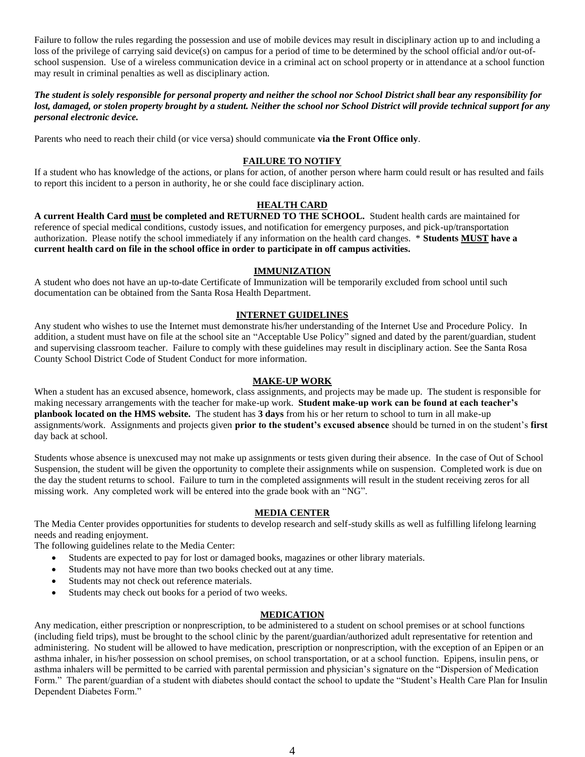Failure to follow the rules regarding the possession and use of mobile devices may result in disciplinary action up to and including a loss of the privilege of carrying said device(s) on campus for a period of time to be determined by the school official and/or out-ofschool suspension. Use of a wireless communication device in a criminal act on school property or in attendance at a school function may result in criminal penalties as well as disciplinary action.

*The student is solely responsible for personal property and neither the school nor School District shall bear any responsibility for lost, damaged, or stolen property brought by a student. Neither the school nor School District will provide technical support for any personal electronic device.*

Parents who need to reach their child (or vice versa) should communicate **via the Front Office only**.

### **FAILURE TO NOTIFY**

If a student who has knowledge of the actions, or plans for action, of another person where harm could result or has resulted and fails to report this incident to a person in authority, he or she could face disciplinary action.

## **HEALTH CARD**

**A current Health Card must be completed and RETURNED TO THE SCHOOL.** Student health cards are maintained for reference of special medical conditions, custody issues, and notification for emergency purposes, and pick-up/transportation authorization. Please notify the school immediately if any information on the health card changes. \* **Students MUST have a current health card on file in the school office in order to participate in off campus activities.**

### **IMMUNIZATION**

A student who does not have an up-to-date Certificate of Immunization will be temporarily excluded from school until such documentation can be obtained from the Santa Rosa Health Department.

### **INTERNET GUIDELINES**

Any student who wishes to use the Internet must demonstrate his/her understanding of the Internet Use and Procedure Policy. In addition, a student must have on file at the school site an "Acceptable Use Policy" signed and dated by the parent/guardian, student and supervising classroom teacher. Failure to comply with these guidelines may result in disciplinary action. See the Santa Rosa County School District Code of Student Conduct for more information.

#### **MAKE-UP WORK**

When a student has an excused absence, homework, class assignments, and projects may be made up. The student is responsible for making necessary arrangements with the teacher for make-up work. **Student make-up work can be found at each teacher's planbook located on the HMS website.** The student has **3 days** from his or her return to school to turn in all make-up assignments/work. Assignments and projects given **prior to the student's excused absence** should be turned in on the student's **first** day back at school.

Students whose absence is unexcused may not make up assignments or tests given during their absence. In the case of Out of School Suspension, the student will be given the opportunity to complete their assignments while on suspension. Completed work is due on the day the student returns to school. Failure to turn in the completed assignments will result in the student receiving zeros for all missing work. Any completed work will be entered into the grade book with an "NG".

## **MEDIA CENTER**

The Media Center provides opportunities for students to develop research and self-study skills as well as fulfilling lifelong learning needs and reading enjoyment.

The following guidelines relate to the Media Center:

- Students are expected to pay for lost or damaged books, magazines or other library materials.
- Students may not have more than two books checked out at any time.
- Students may not check out reference materials.
- Students may check out books for a period of two weeks.

### **MEDICATION**

Any medication, either prescription or nonprescription, to be administered to a student on school premises or at school functions (including field trips), must be brought to the school clinic by the parent/guardian/authorized adult representative for retention and administering. No student will be allowed to have medication, prescription or nonprescription, with the exception of an Epipen or an asthma inhaler, in his/her possession on school premises, on school transportation, or at a school function. Epipens, insulin pens, or asthma inhalers will be permitted to be carried with parental permission and physician's signature on the "Dispersion of Medication Form." The parent/guardian of a student with diabetes should contact the school to update the "Student's Health Care Plan for Insulin Dependent Diabetes Form."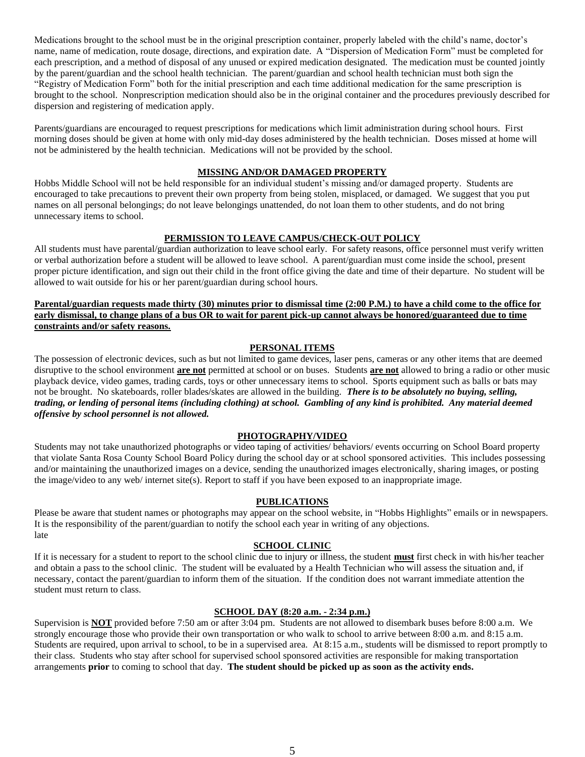Medications brought to the school must be in the original prescription container, properly labeled with the child's name, doctor's name, name of medication, route dosage, directions, and expiration date. A "Dispersion of Medication Form" must be completed for each prescription, and a method of disposal of any unused or expired medication designated. The medication must be counted jointly by the parent/guardian and the school health technician. The parent/guardian and school health technician must both sign the "Registry of Medication Form" both for the initial prescription and each time additional medication for the same prescription is brought to the school. Nonprescription medication should also be in the original container and the procedures previously described for dispersion and registering of medication apply.

Parents/guardians are encouraged to request prescriptions for medications which limit administration during school hours. First morning doses should be given at home with only mid-day doses administered by the health technician. Doses missed at home will not be administered by the health technician. Medications will not be provided by the school.

### **MISSING AND/OR DAMAGED PROPERTY**

Hobbs Middle School will not be held responsible for an individual student's missing and/or damaged property. Students are encouraged to take precautions to prevent their own property from being stolen, misplaced, or damaged. We suggest that you put names on all personal belongings; do not leave belongings unattended, do not loan them to other students, and do not bring unnecessary items to school.

#### **PERMISSION TO LEAVE CAMPUS/CHECK-OUT POLICY**

All students must have parental/guardian authorization to leave school early. For safety reasons, office personnel must verify written or verbal authorization before a student will be allowed to leave school. A parent/guardian must come inside the school, present proper picture identification, and sign out their child in the front office giving the date and time of their departure. No student will be allowed to wait outside for his or her parent/guardian during school hours.

## **Parental/guardian requests made thirty (30) minutes prior to dismissal time (2:00 P.M.) to have a child come to the office for early dismissal, to change plans of a bus OR to wait for parent pick-up cannot always be honored/guaranteed due to time constraints and/or safety reasons.**

### **PERSONAL ITEMS**

The possession of electronic devices, such as but not limited to game devices, laser pens, cameras or any other items that are deemed disruptive to the school environment **are not** permitted at school or on buses. Students **are not** allowed to bring a radio or other music playback device, video games, trading cards, toys or other unnecessary items to school. Sports equipment such as balls or bats may not be brought. No skateboards, roller blades/skates are allowed in the building. *There is to be absolutely no buying, selling, trading, or lending of personal items (including clothing) at school. Gambling of any kind is prohibited. Any material deemed offensive by school personnel is not allowed.*

### **PHOTOGRAPHY/VIDEO**

Students may not take unauthorized photographs or video taping of activities/ behaviors/ events occurring on School Board property that violate Santa Rosa County School Board Policy during the school day or at school sponsored activities. This includes possessing and/or maintaining the unauthorized images on a device, sending the unauthorized images electronically, sharing images, or posting the image/video to any web/ internet site(s). Report to staff if you have been exposed to an inappropriate image.

#### **PUBLICATIONS**

Please be aware that student names or photographs may appear on the school website, in "Hobbs Highlights" emails or in newspapers. It is the responsibility of the parent/guardian to notify the school each year in writing of any objections. late

### **SCHOOL CLINIC**

If it is necessary for a student to report to the school clinic due to injury or illness, the student **must** first check in with his/her teacher and obtain a pass to the school clinic. The student will be evaluated by a Health Technician who will assess the situation and, if necessary, contact the parent/guardian to inform them of the situation. If the condition does not warrant immediate attention the student must return to class.

### **SCHOOL DAY (8:20 a.m. - 2:34 p.m.)**

Supervision is **NOT** provided before 7:50 am or after 3:04 pm. Students are not allowed to disembark buses before 8:00 a.m. We strongly encourage those who provide their own transportation or who walk to school to arrive between 8:00 a.m. and 8:15 a.m. Students are required, upon arrival to school, to be in a supervised area. At 8:15 a.m., students will be dismissed to report promptly to their class. Students who stay after school for supervised school sponsored activities are responsible for making transportation arrangements **prior** to coming to school that day. **The student should be picked up as soon as the activity ends.**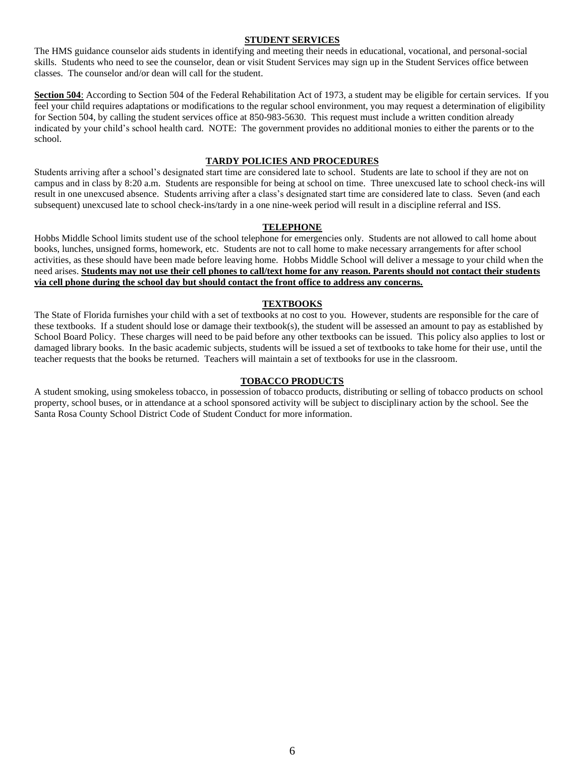#### **STUDENT SERVICES**

The HMS guidance counselor aids students in identifying and meeting their needs in educational, vocational, and personal-social skills. Students who need to see the counselor, dean or visit Student Services may sign up in the Student Services office between classes. The counselor and/or dean will call for the student.

**Section 504**: According to Section 504 of the Federal Rehabilitation Act of 1973, a student may be eligible for certain services. If you feel your child requires adaptations or modifications to the regular school environment, you may request a determination of eligibility for Section 504, by calling the student services office at 850-983-5630. This request must include a written condition already indicated by your child's school health card. NOTE: The government provides no additional monies to either the parents or to the school.

#### **TARDY POLICIES AND PROCEDURES**

Students arriving after a school's designated start time are considered late to school. Students are late to school if they are not on campus and in class by 8:20 a.m. Students are responsible for being at school on time. Three unexcused late to school check-ins will result in one unexcused absence. Students arriving after a class's designated start time are considered late to class. Seven (and each subsequent) unexcused late to school check-ins/tardy in a one nine-week period will result in a discipline referral and ISS.

#### **TELEPHONE**

Hobbs Middle School limits student use of the school telephone for emergencies only. Students are not allowed to call home about books, lunches, unsigned forms, homework, etc. Students are not to call home to make necessary arrangements for after school activities, as these should have been made before leaving home. Hobbs Middle School will deliver a message to your child when the need arises. **Students may not use their cell phones to call/text home for any reason. Parents should not contact their students via cell phone during the school day but should contact the front office to address any concerns.**

### **TEXTBOOKS**

The State of Florida furnishes your child with a set of textbooks at no cost to you. However, students are responsible for the care of these textbooks. If a student should lose or damage their textbook(s), the student will be assessed an amount to pay as established by School Board Policy. These charges will need to be paid before any other textbooks can be issued. This policy also applies to lost or damaged library books. In the basic academic subjects, students will be issued a set of textbooks to take home for their use, until the teacher requests that the books be returned. Teachers will maintain a set of textbooks for use in the classroom.

#### **TOBACCO PRODUCTS**

A student smoking, using smokeless tobacco, in possession of tobacco products, distributing or selling of tobacco products on school property, school buses, or in attendance at a school sponsored activity will be subject to disciplinary action by the school. See the Santa Rosa County School District Code of Student Conduct for more information.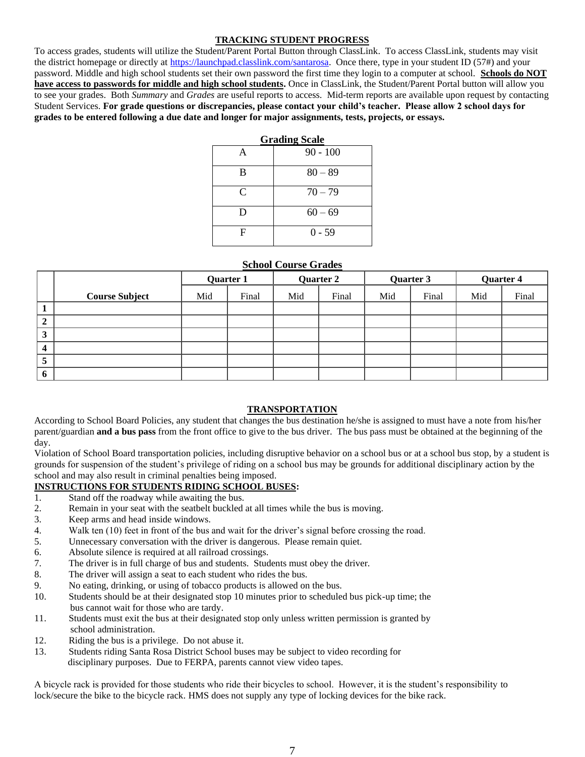## **TRACKING STUDENT PROGRESS**

To access grades, students will utilize the Student/Parent Portal Button through ClassLink. To access ClassLink, students may visit the district homepage or directly at [https://launchpad.classlink.com/santarosa.](https://launchpad.classlink.com/santarosa) Once there, type in your student ID (57#) and your password. Middle and high school students set their own password the first time they login to a computer at school. **Schools do NOT have access to passwords for middle and high school students.** Once in ClassLink, the Student/Parent Portal button will allow you to see your grades. Both *Summary* and *Grades* are useful reports to access. Mid-term reports are available upon request by contacting Student Services. **For grade questions or discrepancies, please contact your child's teacher. Please allow 2 school days for grades to be entered following a due date and longer for major assignments, tests, projects, or essays.**

| <b>Grading Scale</b> |            |  |  |  |  |
|----------------------|------------|--|--|--|--|
| А                    | $90 - 100$ |  |  |  |  |
| в                    | $80 - 89$  |  |  |  |  |
| $\mathsf{C}$         | $70 - 79$  |  |  |  |  |
| D                    | $60 - 69$  |  |  |  |  |
| F                    | $0 - 59$   |  |  |  |  |

#### **School Course Grades**

|                         |                       | Quarter 1 |       | Quarter 2 |       | Quarter 3 |       | Quarter 4 |       |
|-------------------------|-----------------------|-----------|-------|-----------|-------|-----------|-------|-----------|-------|
|                         | <b>Course Subject</b> | Mid       | Final | Mid       | Final | Mid       | Final | Mid       | Final |
| $\mathbf 1$             |                       |           |       |           |       |           |       |           |       |
| $\overline{2}$          |                       |           |       |           |       |           |       |           |       |
| 3                       |                       |           |       |           |       |           |       |           |       |
| $\overline{\mathbf{4}}$ |                       |           |       |           |       |           |       |           |       |
| 5                       |                       |           |       |           |       |           |       |           |       |
| 6                       |                       |           |       |           |       |           |       |           |       |

## **TRANSPORTATION**

According to School Board Policies, any student that changes the bus destination he/she is assigned to must have a note from his/her parent/guardian **and a bus pass** from the front office to give to the bus driver. The bus pass must be obtained at the beginning of the day.

Violation of School Board transportation policies, including disruptive behavior on a school bus or at a school bus stop, by a student is grounds for suspension of the student's privilege of riding on a school bus may be grounds for additional disciplinary action by the school and may also result in criminal penalties being imposed.

## **INSTRUCTIONS FOR STUDENTS RIDING SCHOOL BUSES:**

- 1. Stand off the roadway while awaiting the bus.
- 2. Remain in your seat with the seatbelt buckled at all times while the bus is moving.
- 3. Keep arms and head inside windows.
- 4. Walk ten (10) feet in front of the bus and wait for the driver's signal before crossing the road.
- 5. Unnecessary conversation with the driver is dangerous. Please remain quiet.
- 6. Absolute silence is required at all railroad crossings.
- 7. The driver is in full charge of bus and students. Students must obey the driver.
- 8. The driver will assign a seat to each student who rides the bus.
- 9. No eating, drinking, or using of tobacco products is allowed on the bus.
- 10. Students should be at their designated stop 10 minutes prior to scheduled bus pick-up time; the bus cannot wait for those who are tardy.
- 11. Students must exit the bus at their designated stop only unless written permission is granted by school administration.
- 12. Riding the bus is a privilege. Do not abuse it.
- 13. Students riding Santa Rosa District School buses may be subject to video recording for disciplinary purposes. Due to FERPA, parents cannot view video tapes.

A bicycle rack is provided for those students who ride their bicycles to school. However, it is the student's responsibility to lock/secure the bike to the bicycle rack. HMS does not supply any type of locking devices for the bike rack.